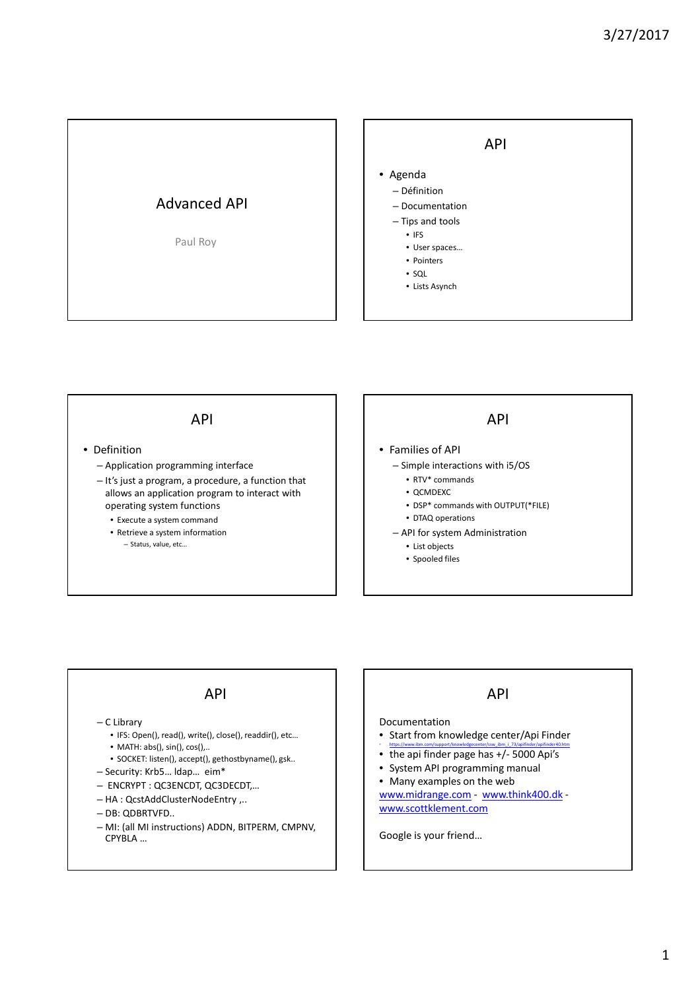



#### • Definition

- Application programming interface
- It's just a program, a procedure, a function that allows an application program to interact with operating system functions
	- Execute a system command
	- Retrieve a system information – Status, value, etc…

### API

- Families of API
	- Simple interactions with i5/OS
		- RTV\* commands
		- QCMDEXC
		- DSP\* commands with OUTPUT(\*FILE) • DTAQ operations
	- API for system Administration
		- List objects
		- Spooled files

### API

#### – C Library

- IFS: Open(), read(), write(), close(), readdir(), etc…
- MATH: abs(), sin(), cos(),..
- SOCKET: listen(), accept(), gethostbyname(), gsk..
- Security: Krb5… ldap… eim\*
- ENCRYPT : QC3ENCDT, QC3DECDT,…
- HA : QcstAddClusterNodeEntry ,..
- DB: QDBRTVFD..
- MI: (all MI instructions) ADDN, BITPERM, CMPNV, CPYBLA …

### API

#### Documentation

- Start from knowledge center/Api Finder
- https://www.ibm.com/support/knowledgecenter/ssw\_ibm\_i\_73/apifinder/apifinder40.htm<br>• the api finder page has +/- 5000 Api's
- System API programming manual
- Many examples on the web

www.midrange.com - www.think400.dk www.scottklement.com

Google is your friend…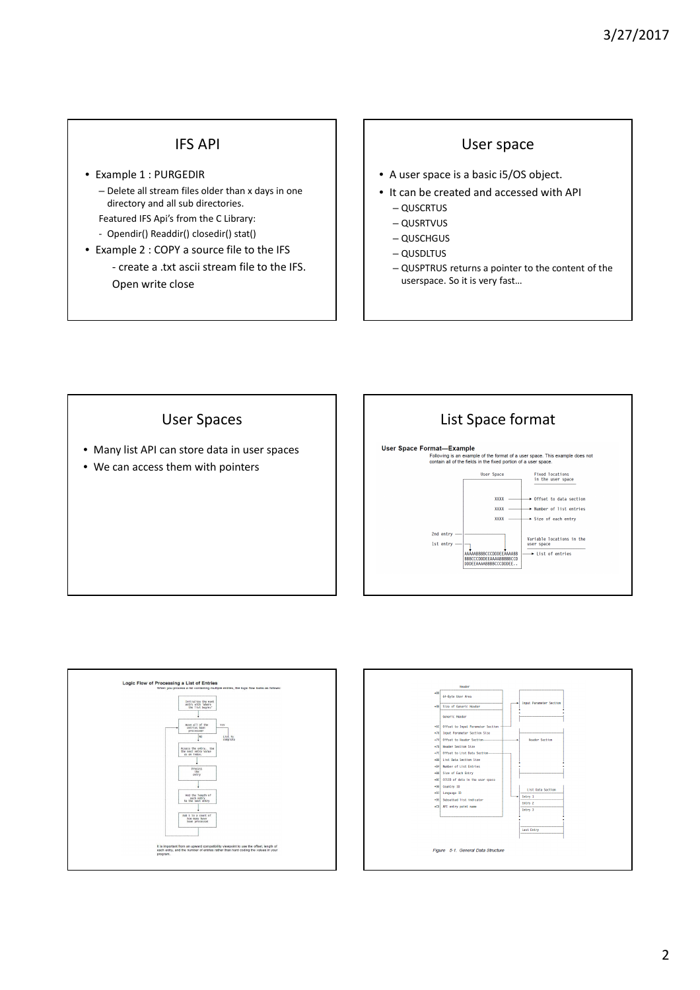## IFS API

- Example 1 : PURGEDIR – Delete all stream files older than x days in one directory and all sub directories.
	- Featured IFS Api's from the C Library:
	- Opendir() Readdir() closedir() stat()
- Example 2 : COPY a source file to the IFS - create a .txt ascii stream file to the IFS. Open write close

### User space

- A user space is a basic i5/OS object.
- It can be created and accessed with API
	- QUSCRTUS
	- QUSRTVUS
	- QUSCHGUS
	- QUSDLTUS
	- QUSPTRUS returns a pointer to the content of the userspace. So it is very fast…



- Many list API can store data in user spaces
- We can access them with pointers





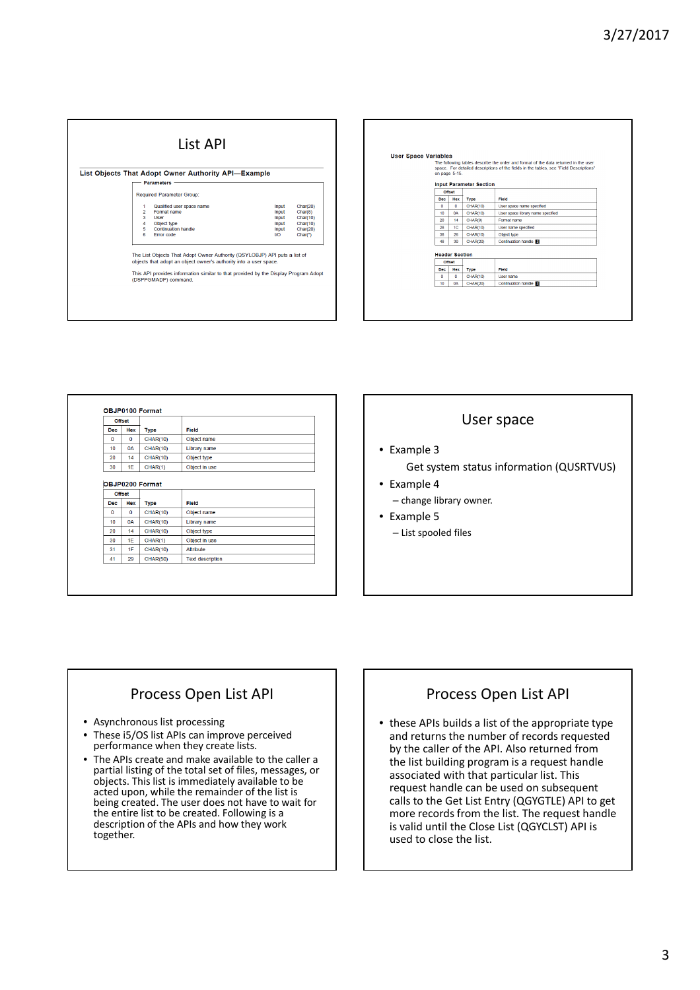| List API |                                          |                                                                                                                                                |                                                  |                                                                    |  |  |
|----------|------------------------------------------|------------------------------------------------------------------------------------------------------------------------------------------------|--------------------------------------------------|--------------------------------------------------------------------|--|--|
|          |                                          | List Objects That Adopt Owner Authority API-Example                                                                                            |                                                  |                                                                    |  |  |
|          |                                          | <b>Parameters</b>                                                                                                                              |                                                  |                                                                    |  |  |
|          |                                          | <b>Required Parameter Group:</b>                                                                                                               |                                                  |                                                                    |  |  |
|          | 1<br>$\overline{2}$<br>3<br>4<br>5<br>6. | Qualified user space name<br>Format name<br>User<br>Object type<br>Continuation handle<br><b>Error</b> code                                    | Input<br>Input<br>Input<br>Input<br>Input<br>I/O | Char(20)<br>Char(8)<br>Char(10)<br>Char(10)<br>Char(20)<br>$Char*$ |  |  |
|          |                                          | The List Objects That Adopt Owner Authority (QSYLOBJP) API puts a list of<br>objects that adopt an object owner's authority into a user space. |                                                  |                                                                    |  |  |
|          |                                          | This API provides information similar to that provided by the Display Program Adopt<br>(DSPPGMADP) command.                                    |                                                  |                                                                    |  |  |

| <b>User Space Variables</b> | on page 5-15.                   |                                | The following tables describe the order and format of the data returned in the user<br>space. For detailed descriptions of the fields in the tables, see "Field Descriptions" |
|-----------------------------|---------------------------------|--------------------------------|-------------------------------------------------------------------------------------------------------------------------------------------------------------------------------|
|                             |                                 | <b>Input Parameter Section</b> |                                                                                                                                                                               |
| <b>Dec</b>                  | Offset<br>Hex                   | <b>Type</b>                    | Field                                                                                                                                                                         |
| n                           | $\mathbf{0}$                    | <b>CHAR(10)</b>                | User space name specified                                                                                                                                                     |
| 10                          | 0A                              | <b>CHAR(10)</b>                | User space library name specified                                                                                                                                             |
| 20                          | 14                              | CHAR(8)                        | Format name                                                                                                                                                                   |
| 28                          | 1C                              | CHAR(10)                       | User name specified                                                                                                                                                           |
| 38                          | 26                              | CHAR(10)                       | Object type                                                                                                                                                                   |
| 48                          | 30                              | <b>CHAR(20)</b>                | Continuation handle                                                                                                                                                           |
|                             | <b>Header Section</b><br>Offset |                                |                                                                                                                                                                               |
| Dec                         | Hex                             | <b>Type</b>                    | Field                                                                                                                                                                         |
| o                           | $\mathbf{0}$                    | <b>CHAR(10)</b>                | <b>User name</b>                                                                                                                                                              |
| 10                          | <b>OA</b>                       | <b>CHAR(20)</b>                | Continuation handle                                                                                                                                                           |

|                 | <b>Offset</b> |                        |                  |  |
|-----------------|---------------|------------------------|------------------|--|
| <b>Dec</b>      | <b>Hex</b>    | <b>Type</b>            | Field            |  |
| $\Omega$        | $\Omega$      | <b>CHAR(10)</b>        | Object name      |  |
| 10 <sub>1</sub> | <b>0A</b>     | <b>CHAR(10)</b>        | Library name     |  |
| 20              | 14            | <b>CHAR(10)</b>        | Object type      |  |
| 30              | 1E            | CHAR(1)                | Object in use    |  |
|                 | <b>Offset</b> | <b>OBJP0200 Format</b> |                  |  |
| <b>Dec</b>      | <b>Hex</b>    | <b>Type</b>            | Field            |  |
| $\bf{0}$        | $\bf{0}$      | <b>CHAR(10)</b>        | Object name      |  |
| 10 <sub>1</sub> | <b>0A</b>     | <b>CHAR(10)</b>        | Library name     |  |
| 20 <sub>0</sub> | 14            | <b>CHAR(10)</b>        | Object type      |  |
| 30              | 1F            | CHAR(1)                | Object in use    |  |
| 31              | 1F            | <b>CHAR(10)</b>        | <b>Attribute</b> |  |

### User space

- Example 3 Get system status information (QUSRTVUS)
- Example 4 – change library owner.
- Example 5 – List spooled files

# Process Open List API

- Asynchronous list processing
- These i5/OS list APIs can improve perceived performance when they create lists.
- The APIs create and make available to the caller a partial listing of the total set of files, messages, or objects. This list is immediately available to be acted upon, while the remainder of the list is being created. The user does not have to wait for the entire list to be created. Following is a description of the APIs and how they work together.

# Process Open List API

• these APIs builds a list of the appropriate type and returns the number of records requested by the caller of the API. Also returned from the list building program is a request handle associated with that particular list. This request handle can be used on subsequent calls to the Get List Entry (QGYGTLE) API to get more records from the list. The request handle is valid until the Close List (QGYCLST) API is used to close the list.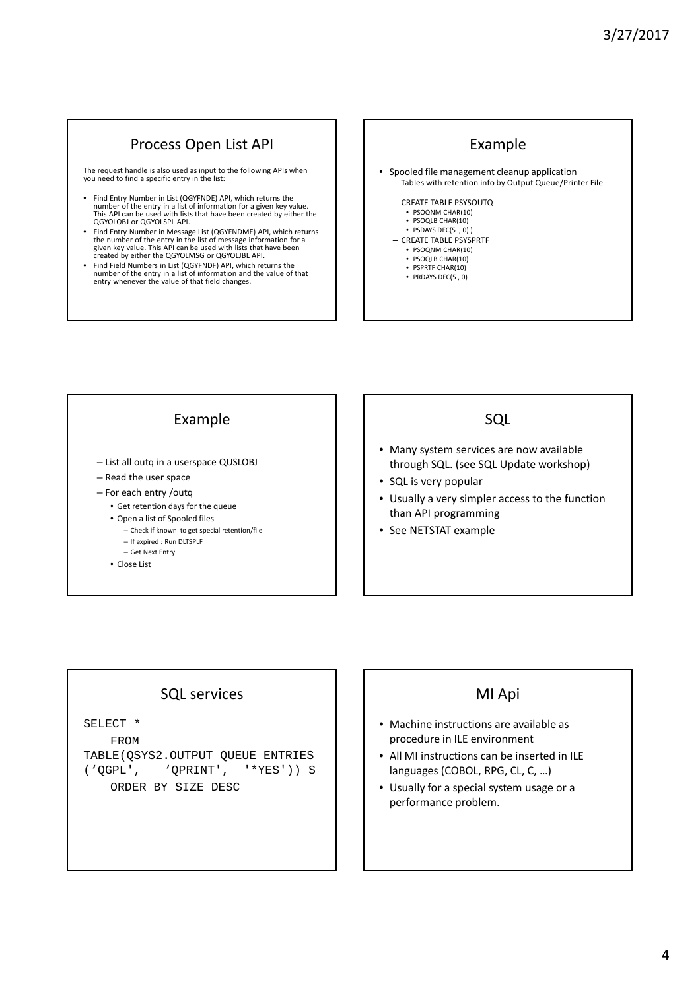## Process Open List API

The request handle is also used as input to the following APIs when you need to find a specific entry in the list:

- Find Entry Number in List (QGYFNDE) API, which returns the number of the entry in a list of information for a given key value. This API can be used with lists that have been created by either the QGYOLOBJ or QGYOLSPL API.
- Find Entry Number in Message List (QGYFNDME) API, which returns the number of the entry in the list of message information for a given key value. This API can be used with lists that have been created by either the QGYOLMSG or QGYOLJBL API.
- Find Field Numbers in List (QGYFNDF) API, which returns the number of the entry in a list of information and the value of that entry whenever the value of that field changes.

# Example

- Spooled file management cleanup application – Tables with retention info by Output Queue/Printer File
	- CREATE TABLE PSYSOUTQ
	- PSOQNM CHAR(10) • PSOQLB CHAR(10)
	- PSDAYS DEC(5 , 0) ) – CREATE TABLE PSYSPRTF
	- PSOQNM CHAR(10)
		- PSOQLB CHAR(10)
		- PSPRTF CHAR(10) • PRDAYS DEC(5 , 0)

## Example

- List all outq in a userspace QUSLOBJ
- Read the user space
- For each entry /outq
	- Get retention days for the queue
	- Open a list of Spooled files
		- Check if known to get special retention/file
		- If expired : Run DLTSPLF – Get Next Entry
	- Close List

### **SOL**

- Many system services are now available through SQL. (see SQL Update workshop)
- SQL is very popular
- Usually a very simpler access to the function than API programming
- See NETSTAT example

### SQL services

SELECT \*

FROM TABLE(QSYS2.OUTPUT\_QUEUE\_ENTRIES ('QGPL', 'QPRINT', '\*YES')) S ORDER BY SIZE DESC

### MI Api

- Machine instructions are available as procedure in ILE environment
- All MI instructions can be inserted in ILE languages (COBOL, RPG, CL, C, …)
- Usually for a special system usage or a performance problem.